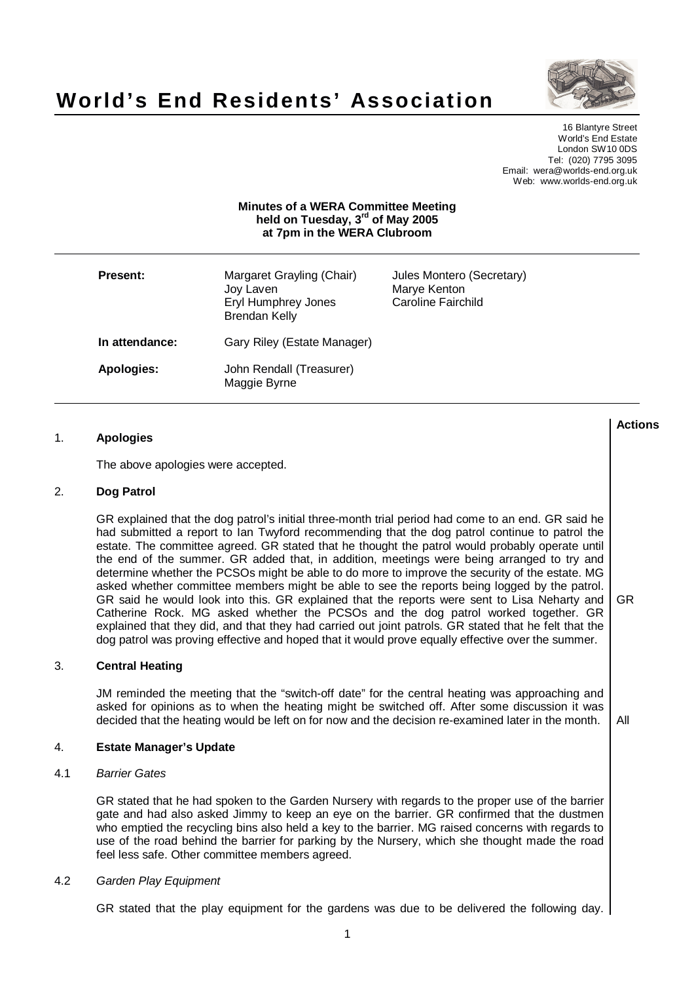

# **World's End Residents' Association**

16 Blantyre Street World's End Estate London SW10 0DS Tel: (020) 7795 3095 Email: wera@worlds-end.org.uk Web: www.worlds-end.org.uk

# **Minutes of a WERA Committee Meeting held on Tuesday, 3 rd of May 2005 at 7pm in the WERA Clubroom**

| <b>Present:</b> | Margaret Grayling (Chair)<br>Joy Laven<br>Eryl Humphrey Jones<br><b>Brendan Kelly</b> | Jules Montero (Secretary)<br>Marye Kenton<br>Caroline Fairchild |
|-----------------|---------------------------------------------------------------------------------------|-----------------------------------------------------------------|
| In attendance:  | Gary Riley (Estate Manager)                                                           |                                                                 |
| Apologies:      | John Rendall (Treasurer)<br>Maggie Byrne                                              |                                                                 |

| 1.  | <b>Apologies</b>                                                                                                                                                                                                                                                                                                                                                                                                                                                                                                                                                                                                                                                                                                                                                                                                                                                                                                                                                                                          | <b>Actions</b> |
|-----|-----------------------------------------------------------------------------------------------------------------------------------------------------------------------------------------------------------------------------------------------------------------------------------------------------------------------------------------------------------------------------------------------------------------------------------------------------------------------------------------------------------------------------------------------------------------------------------------------------------------------------------------------------------------------------------------------------------------------------------------------------------------------------------------------------------------------------------------------------------------------------------------------------------------------------------------------------------------------------------------------------------|----------------|
|     | The above apologies were accepted.                                                                                                                                                                                                                                                                                                                                                                                                                                                                                                                                                                                                                                                                                                                                                                                                                                                                                                                                                                        |                |
| 2.  | Dog Patrol                                                                                                                                                                                                                                                                                                                                                                                                                                                                                                                                                                                                                                                                                                                                                                                                                                                                                                                                                                                                |                |
|     | GR explained that the dog patrol's initial three-month trial period had come to an end. GR said he<br>had submitted a report to lan Twyford recommending that the dog patrol continue to patrol the<br>estate. The committee agreed. GR stated that he thought the patrol would probably operate until<br>the end of the summer. GR added that, in addition, meetings were being arranged to try and<br>determine whether the PCSOs might be able to do more to improve the security of the estate. MG<br>asked whether committee members might be able to see the reports being logged by the patrol.<br>GR said he would look into this. GR explained that the reports were sent to Lisa Neharty and<br>Catherine Rock. MG asked whether the PCSOs and the dog patrol worked together. GR<br>explained that they did, and that they had carried out joint patrols. GR stated that he felt that the<br>dog patrol was proving effective and hoped that it would prove equally effective over the summer. | <b>GR</b>      |
| 3.  | <b>Central Heating</b>                                                                                                                                                                                                                                                                                                                                                                                                                                                                                                                                                                                                                                                                                                                                                                                                                                                                                                                                                                                    |                |
|     | JM reminded the meeting that the "switch-off date" for the central heating was approaching and<br>asked for opinions as to when the heating might be switched off. After some discussion it was<br>decided that the heating would be left on for now and the decision re-examined later in the month.                                                                                                                                                                                                                                                                                                                                                                                                                                                                                                                                                                                                                                                                                                     | All            |
| 4.  | <b>Estate Manager's Update</b>                                                                                                                                                                                                                                                                                                                                                                                                                                                                                                                                                                                                                                                                                                                                                                                                                                                                                                                                                                            |                |
| 4.1 | <b>Barrier Gates</b>                                                                                                                                                                                                                                                                                                                                                                                                                                                                                                                                                                                                                                                                                                                                                                                                                                                                                                                                                                                      |                |
|     | GR stated that he had spoken to the Garden Nursery with regards to the proper use of the barrier<br>gate and had also asked Jimmy to keep an eye on the barrier. GR confirmed that the dustmen<br>who emptied the recycling bins also held a key to the barrier. MG raised concerns with regards to<br>use of the road behind the barrier for parking by the Nursery, which she thought made the road<br>feel less safe. Other committee members agreed.                                                                                                                                                                                                                                                                                                                                                                                                                                                                                                                                                  |                |
| 4.2 | Garden Play Equipment                                                                                                                                                                                                                                                                                                                                                                                                                                                                                                                                                                                                                                                                                                                                                                                                                                                                                                                                                                                     |                |
|     |                                                                                                                                                                                                                                                                                                                                                                                                                                                                                                                                                                                                                                                                                                                                                                                                                                                                                                                                                                                                           |                |

GR stated that the play equipment for the gardens was due to be delivered the following day.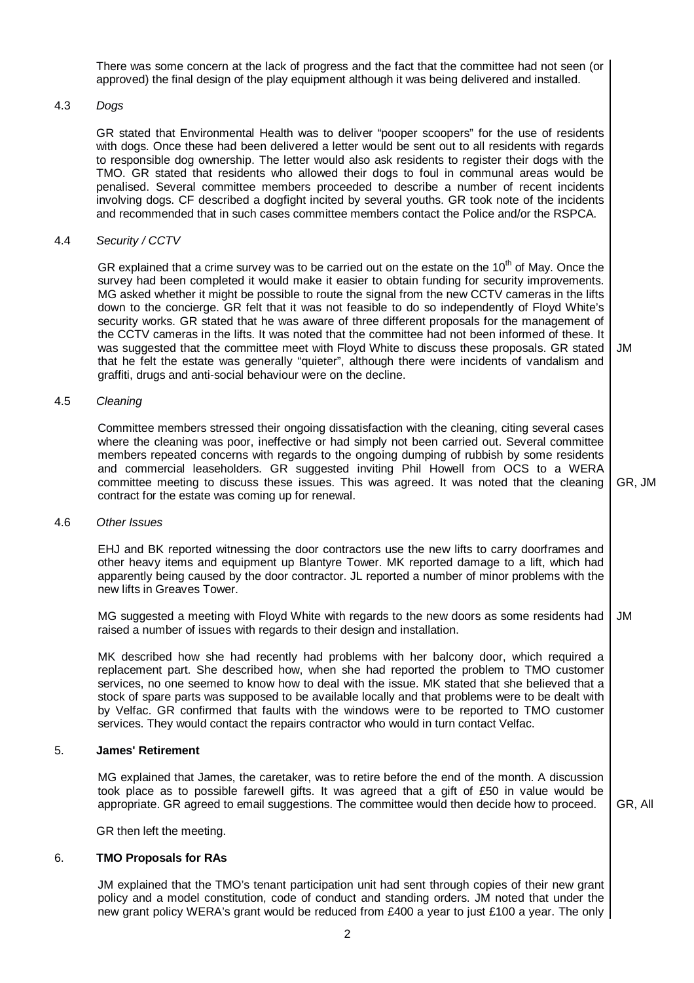There was some concern at the lack of progress and the fact that the committee had not seen (or approved) the final design of the play equipment although it was being delivered and installed.

## 4.3 Dogs

GR stated that Environmental Health was to deliver "pooper scoopers" for the use of residents with dogs. Once these had been delivered a letter would be sent out to all residents with regards to responsible dog ownership. The letter would also ask residents to register their dogs with the TMO. GR stated that residents who allowed their dogs to foul in communal areas would be penalised. Several committee members proceeded to describe a number of recent incidents involving dogs. CF described a dogfight incited by several youths. GR took note of the incidents and recommended that in such cases committee members contact the Police and/or the RSPCA.

#### 4.4 Security / CCTV

GR explained that a crime survey was to be carried out on the estate on the 10<sup>th</sup> of May. Once the survey had been completed it would make it easier to obtain funding for security improvements. MG asked whether it might be possible to route the signal from the new CCTV cameras in the lifts down to the concierge. GR felt that it was not feasible to do so independently of Floyd White's security works. GR stated that he was aware of three different proposals for the management of the CCTV cameras in the lifts. It was noted that the committee had not been informed of these. It was suggested that the committee meet with Floyd White to discuss these proposals. GR stated that he felt the estate was generally "quieter", although there were incidents of vandalism and graffiti, drugs and anti-social behaviour were on the decline. JM

#### 4.5 Cleaning

Committee members stressed their ongoing dissatisfaction with the cleaning, citing several cases where the cleaning was poor, ineffective or had simply not been carried out. Several committee members repeated concerns with regards to the ongoing dumping of rubbish by some residents and commercial leaseholders. GR suggested inviting Phil Howell from OCS to a WERA committee meeting to discuss these issues. This was agreed. It was noted that the cleaning contract for the estate was coming up for renewal. GR, JM

#### 4.6 Other Issues

EHJ and BK reported witnessing the door contractors use the new lifts to carry doorframes and other heavy items and equipment up Blantyre Tower. MK reported damage to a lift, which had apparently being caused by the door contractor. JL reported a number of minor problems with the new lifts in Greaves Tower.

MG suggested a meeting with Floyd White with regards to the new doors as some residents had raised a number of issues with regards to their design and installation. JM

MK described how she had recently had problems with her balcony door, which required a replacement part. She described how, when she had reported the problem to TMO customer services, no one seemed to know how to deal with the issue. MK stated that she believed that a stock of spare parts was supposed to be available locally and that problems were to be dealt with by Velfac. GR confirmed that faults with the windows were to be reported to TMO customer services. They would contact the repairs contractor who would in turn contact Velfac.

## 5. **James' Retirement**

MG explained that James, the caretaker, was to retire before the end of the month. A discussion took place as to possible farewell gifts. It was agreed that a gift of £50 in value would be appropriate. GR agreed to email suggestions. The committee would then decide how to proceed.

GR, All

GR then left the meeting.

#### 6. **TMO Proposals for RAs**

JM explained that the TMO's tenant participation unit had sent through copies of their new grant policy and a model constitution, code of conduct and standing orders. JM noted that under the new grant policy WERA's grant would be reduced from £400 a year to just £100 a year. The only